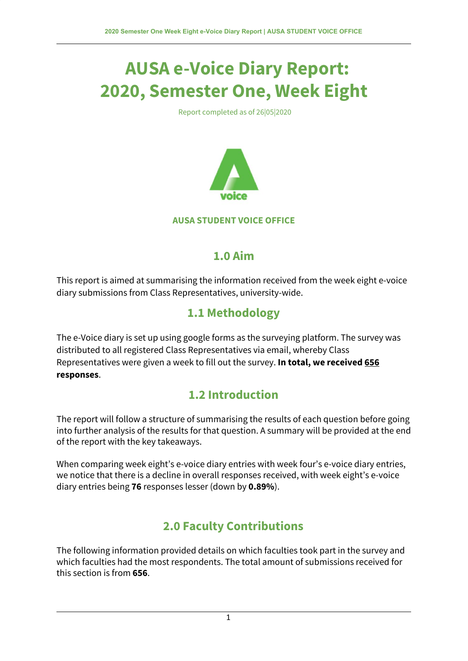# **AUSA e-Voice Diary Report: 2020, Semester One, Week Eight**

Report completed as of 26|05|2020



#### **AUSA STUDENT VOICE OFFICE**

#### **1.0 Aim**

This report is aimed at summarising the information received from the week eight e-voice diary submissions from Class Representatives, university-wide.

## **1.1 Methodology**

The e-Voice diary is set up using google forms as the surveying platform. The survey was distributed to all registered Class Representatives via email, whereby Class Representatives were given a week to fill out the survey. **In total, we received 656 responses**.

## **1.2 Introduction**

The report will follow a structure of summarising the results of each question before going into further analysis of the results for that question. A summary will be provided at the end of the report with the key takeaways.

When comparing week eight's e-voice diary entries with week four's e-voice diary entries, we notice that there is a decline in overall responses received, with week eight's e-voice diary entries being **76** responses lesser (down by **0.89%**).

## **2.0 Faculty Contributions**

The following information provided details on which faculties took part in the survey and which faculties had the most respondents. The total amount of submissions received for this section is from **656**.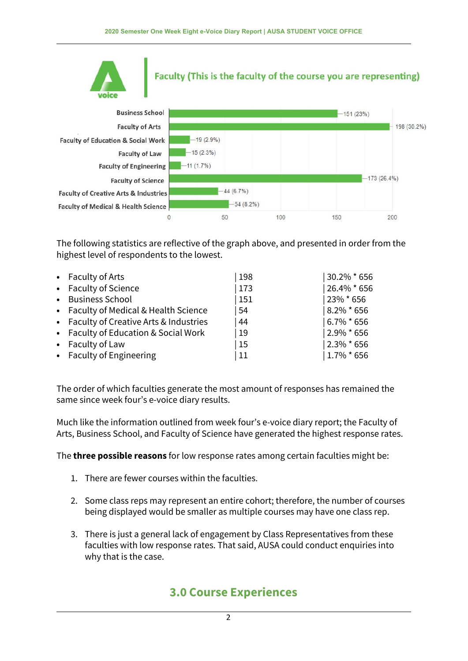

## Faculty (This is the faculty of the course you are representing)



The following statistics are reflective of the graph above, and presented in order from the highest level of respondents to the lowest.

| • Faculty of Arts                       | 198         | 30.2% * 656     |
|-----------------------------------------|-------------|-----------------|
| • Faculty of Science                    | 173         | 26.4% * 656     |
| • Business School                       | $\vert$ 151 | 23% * 656       |
| • Faculty of Medical & Health Science   | 54          | $8.2\% * 656$   |
| • Faculty of Creative Arts & Industries | 44          | $ 6.7\% * 656 $ |
| • Faculty of Education & Social Work    | 19          | $12.9\%$ * 656  |
| • Faculty of Law                        | <b>15</b>   | $12.3\%$ * 656  |
| • Faculty of Engineering                | 11          | $1.7\%$ * 656   |

The order of which faculties generate the most amount of responses has remained the same since week four's e-voice diary results.

Much like the information outlined from week four's e-voice diary report; the Faculty of Arts, Business School, and Faculty of Science have generated the highest response rates.

The **three possible reasons** for low response rates among certain faculties might be:

- 1. There are fewer courses within the faculties.
- 2. Some class reps may represent an entire cohort; therefore, the number of courses being displayed would be smaller as multiple courses may have one class rep.
- 3. There is just a general lack of engagement by Class Representatives from these faculties with low response rates. That said, AUSA could conduct enquiries into why that is the case.

## **3.0 Course Experiences**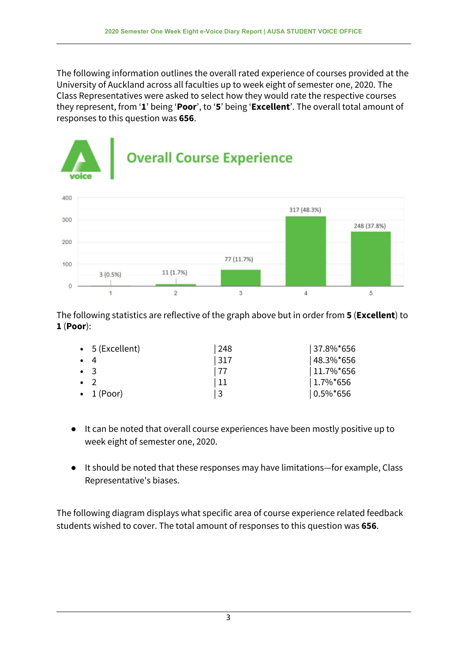The following information outlines the overall rated experience of courses provided at the University of Auckland across all faculties up to week eight of semester one, 2020. The Class Representatives were asked to select how they would rate the respective courses they represent, from '**1**' being '**Poor**', to '**5**' being '**Excellent**'. The overall total amount of responses to this question was **656**.



The following statistics are reflective of the graph above but in order from **5** (**Excellent**) to **1** (**Poor**):

|             | $\bullet$ 5 (Excellent) | 248  | $ 37.8\%$ *656 |
|-------------|-------------------------|------|----------------|
| $\bullet$ 4 |                         | 317  | 48.3%*656      |
|             | $\bullet$ 3             | l 77 | $11.7\%$ *656  |
|             | $\cdot$ 2               | 11   | $1.7\%$ *656   |
|             | $\bullet$ 1 (Poor)      | l 3  | $ 0.5\%$ *656  |

- It can be noted that overall course experiences have been mostly positive up to week eight of semester one, 2020.
- It should be noted that these responses may have limitations—for example, Class Representative's biases.

The following diagram displays what specific area of course experience related feedback students wished to cover. The total amount of responses to this question was **656**.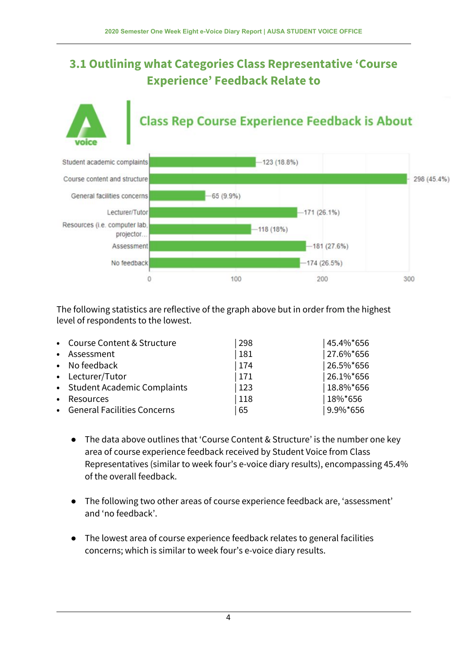## **3.1 Outlining what Categories Class Representative 'Course Experience' Feedback Relate to**

# **Class Rep Course Experience Feedback is About**



The following statistics are reflective of the graph above but in order from the highest level of respondents to the lowest.

|           | • Course Content & Structure  | 298 | 45.4%*656 |
|-----------|-------------------------------|-----|-----------|
|           | • Assessment                  | 181 | 27.6%*656 |
|           | • No feedback                 | 174 | 26.5%*656 |
|           | • Lecturer/Tutor              | 171 | 26.1%*656 |
|           | • Student Academic Complaints | 123 | 18.8%*656 |
| $\bullet$ | Resources                     | 118 | 18%*656   |
|           | • General Facilities Concerns | 65  | 9.9%*656  |

- The data above outlines that 'Course Content & Structure' is the number one key area of course experience feedback received by Student Voice from Class Representatives (similar to week four's e-voice diary results), encompassing 45.4% of the overall feedback.
- The following two other areas of course experience feedback are, 'assessment' and 'no feedback'.
- The lowest area of course experience feedback relates to general facilities concerns; which is similar to week four's e-voice diary results.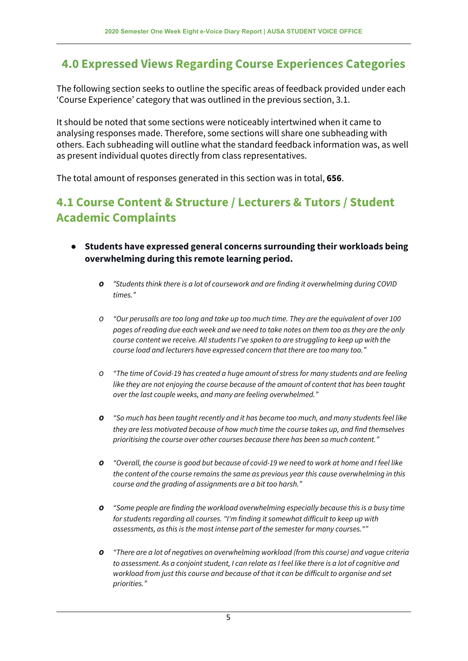## **4.0 Expressed Views Regarding Course Experiences Categories**

The following section seeks to outline the specific areas of feedback provided under each 'Course Experience' category that was outlined in the previous section, 3.1.

It should be noted that some sections were noticeably intertwined when it came to analysing responses made. Therefore, some sections will share one subheading with others. Each subheading will outline what the standard feedback information was, as well as present individual quotes directly from class representatives.

The total amount of responses generated in this section was in total, **656**.

### **4.1 Course Content & Structure / Lecturers & Tutors / Student Academic Complaints**

- **● Students have expressed general concerns surrounding their workloads being overwhelming during this remote learning period.**
	- *o "Students think there is a lot of coursework and are finding it overwhelming during COVID times."*
	- O "Our perusalls are too long and take up too much time. They are the equivalent of over 100 pages of reading due each week and we need to take notes on them too as they are the only *course content we receive. All students I've spoken to are struggling to keep up with the course load and lecturers have expressed concern that there are too many too."*
	- *o "The time of Covid-19 has created a huge amount of stress for many students and are feeling like they are not enjoying the course because of the amount of content that has been taught over the last couple weeks, and many are feeling overwhelmed."*
	- *o "So much has been taught recently and it has become too much, and many students feel like they are less motivated because of how much time the course takes up, and find themselves prioritising the course over other courses because there has been so much content."*
	- **O** "Overall, the course is good but because of covid-19 we need to work at home and I feel like *the content of the course remains the same as previous year this cause overwhelming in this course and the grading of assignments are a bit too harsh."*
	- *o "Some people are finding the workload overwhelming especially because this is a busy time for students regarding all courses. "I'm finding it somewhat difficult to keep up with assessments, as this is the most intense part of the semester for many courses.""*
	- *o "There are a lot of negatives on overwhelming workload (from this course) and vague criteria* to assessment. As a conjoint student, I can relate as I feel like there is a lot of cognitive and *workload from just this course and because of that it can be difficult to organise and set priorities."*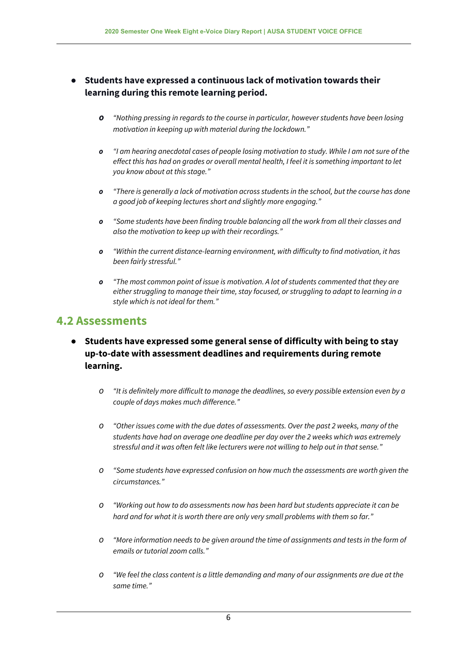- **● Students have expressed a continuous lack of motivation towards their learning during this remote learning period.**
	- *o "Nothing pressing in regards to the course in particular, however students have been losing motivation in keeping up with material during the lockdown."*
	- o "I am hearing anecdotal cases of people losing motivation to study. While I am not sure of the *effect this has had on grades or overall mental health, I feel it is something important to let you know about at this stage."*
	- *o "There is generally a lack of motivation across students in the school, but the course has done a good job of keeping lectures short and slightly more engaging."*
	- *o "Some students have been finding trouble balancing all the work from all their classes and also the motivation to keep up with their recordings."*
	- *o "Within the current distance-learning environment, with difficulty to find motivation, it has been fairly stressful."*
	- *o "The most common point of issue is motivation. A lot of students commented that they are either struggling to manage their time, stay focused, or struggling to adapt to learning in a style which is not ideal for them."*

#### **4.2 Assessments**

- **● Students have expressed some general sense of difficulty with being to stay up-to-date with assessment deadlines and requirements during remote learning.**
	- *o "It is definitely more difficult to manage the deadlines, so every possible extension even by a couple of days makes much difference."*
	- *o "Other issues come with the due dates of assessments. Over the past 2 weeks, many of the students have had on average one deadline per day over the 2 weeks which was extremely stressful and it was often felt like lecturers were not willing to help out in that sense."*
	- *o "Some students have expressed confusion on how much the assessments are worth given the circumstances."*
	- *o "Working out how to do assessments now has been hard but students appreciate it can be hard and for what it is worth there are only very small problems with them so far."*
	- *o "More information needs to be given around the time of assignments and tests in the form of emails or tutorial zoom calls."*
	- O "We feel the class content is a little demanding and many of our assignments are due at the *same time."*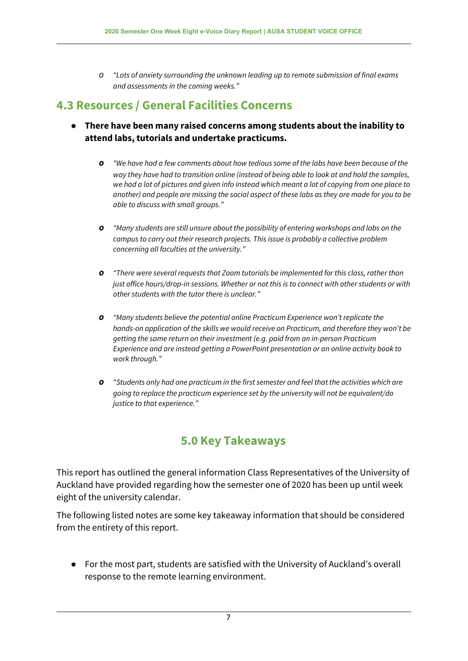*o "Lots of anxiety surrounding the unknown leading up to remote submission of final exams and assessments in the coming weeks."*

### **4.3 Resources / General Facilities Concerns**

- **● There have been many raised concerns among students about the inability to attend labs, tutorials and undertake practicums.**
	- *o "We have had a few comments about how tedious some of the labs have been because of the way they have had to transition online (instead of being able to look at and hold the samples,* we had a lot of pictures and given info instead which meant a lot of copying from one place to another) and people are missing the social aspect of these labs as they are made for you to be *able to discuss with small groups."*
	- *o "Many students are still unsure about the possibility of entering workshops and labs on the campus to carry out their research projects. This issue is probably a collective problem concerning all faculties at the university."*
	- *o "There were several requests that Zoom tutorials be implemented for this class, rather than just office hours/drop-in sessions. Whether or not this is to connect with other students or with other students with the tutor there is unclear."*
	- *o "Many students believe the potential online Practicum Experience won't replicate the hands-on application of the skills we would receive on Practicum, and therefore they won't be getting the same return on their investment (e.g. paid from an in-person Practicum Experience and are instead getting a PowerPoint presentation or an online activity book to work through."*
	- *o "Students only had one practicum in the first semester and feel that the activities which are going to replace the practicum experience set by the university will not be equivalent/do justice to that experience."*

## **5.0 Key Takeaways**

This report has outlined the general information Class Representatives of the University of Auckland have provided regarding how the semester one of 2020 has been up until week eight of the university calendar.

The following listed notes are some key takeaway information that should be considered from the entirety of this report.

● For the most part, students are satisfied with the University of Auckland's overall response to the remote learning environment.